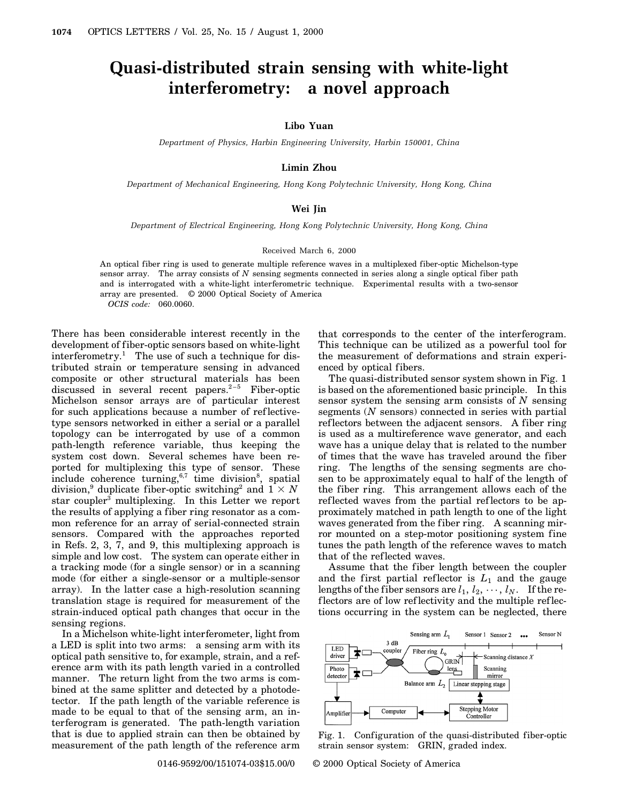# **Quasi-distributed strain sensing with white-light interferometry: a novel approach**

## **Libo Yuan**

*Department of Physics, Harbin Engineering University, Harbin 150001, China*

### **Limin Zhou**

*Department of Mechanical Engineering, Hong Kong Polytechnic University, Hong Kong, China*

### **Wei Jin**

*Department of Electrical Engineering, Hong Kong Polytechnic University, Hong Kong, China*

#### Received March 6, 2000

An optical fiber ring is used to generate multiple reference waves in a multiplexed fiber-optic Michelson-type sensor array. The array consists of *N* sensing segments connected in series along a single optical fiber path and is interrogated with a white-light interferometric technique. Experimental results with a two-sensor array are presented. © 2000 Optical Society of America *OCIS code:* 060.0060.

There has been considerable interest recently in the development of fiber-optic sensors based on white-light interferometry.<sup>1</sup> The use of such a technique for distributed strain or temperature sensing in advanced composite or other structural materials has been discussed in several recent papers. $2-5$  Fiber-optic Michelson sensor arrays are of particular interest for such applications because a number of ref lectivetype sensors networked in either a serial or a parallel topology can be interrogated by use of a common path-length reference variable, thus keeping the system cost down. Several schemes have been reported for multiplexing this type of sensor. These include coherence turning,  $6,7$  time division<sup>8</sup>, spatial division,<sup>9</sup> duplicate fiber-optic switching<sup>2</sup> and  $1 \times N$ star coupler<sup>3</sup> multiplexing. In this Letter we report the results of applying a fiber ring resonator as a common reference for an array of serial-connected strain sensors. Compared with the approaches reported in Refs. 2, 3, 7, and 9, this multiplexing approach is simple and low cost. The system can operate either in a tracking mode (for a single sensor) or in a scanning mode (for either a single-sensor or a multiple-sensor array). In the latter case a high-resolution scanning translation stage is required for measurement of the strain-induced optical path changes that occur in the sensing regions.

In a Michelson white-light interferometer, light from a LED is split into two arms: a sensing arm with its optical path sensitive to, for example, strain, and a reference arm with its path length varied in a controlled manner. The return light from the two arms is combined at the same splitter and detected by a photodetector. If the path length of the variable reference is made to be equal to that of the sensing arm, an interferogram is generated. The path-length variation that is due to applied strain can then be obtained by measurement of the path length of the reference arm

This technique can be utilized as a powerful tool for the measurement of deformations and strain experienced by optical fibers. The quasi-distributed sensor system shown in Fig. 1

that corresponds to the center of the interferogram.

is based on the aforementioned basic principle. In this sensor system the sensing arm consists of *N* sensing segments (*N* sensors) connected in series with partial reflectors between the adjacent sensors. A fiber ring is used as a multireference wave generator, and each wave has a unique delay that is related to the number of times that the wave has traveled around the fiber ring. The lengths of the sensing segments are chosen to be approximately equal to half of the length of the fiber ring. This arrangement allows each of the reflected waves from the partial ref lectors to be approximately matched in path length to one of the light waves generated from the fiber ring. A scanning mirror mounted on a step-motor positioning system fine tunes the path length of the reference waves to match that of the reflected waves.

Assume that the fiber length between the coupler and the first partial reflector is  $L_1$  and the gauge lengths of the fiber sensors are  $l_1, l_2, \cdots, l_N$ . If the reflectors are of low ref lectivity and the multiple reflections occurring in the system can be neglected, there



Fig. 1. Configuration of the quasi-distributed fiber-optic strain sensor system: GRIN, graded index.

0146-9592/00/151074-03\$15.00/0 © 2000 Optical Society of America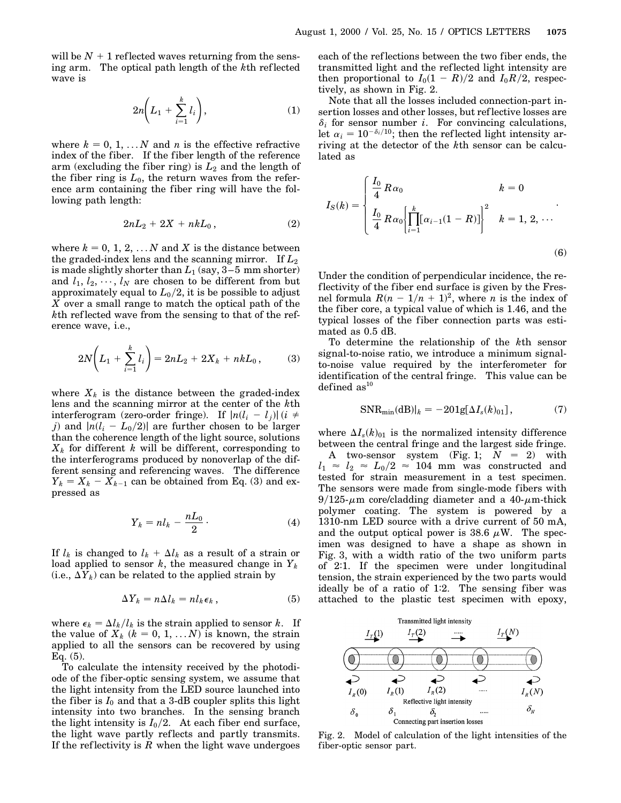will be  $N + 1$  reflected waves returning from the sensing arm. The optical path length of the *k*th ref lected wave is

$$
2n\bigg(L_1+\sum_{i=1}^kl_i\bigg),\qquad \qquad (1)
$$

where  $k = 0, 1, \ldots N$  and *n* is the effective refractive index of the fiber. If the fiber length of the reference arm (excluding the fiber ring) is *L*<sup>2</sup> and the length of the fiber ring is  $L_0$ , the return waves from the reference arm containing the fiber ring will have the following path length:

$$
2nL_2 + 2X + nkL_0, \t\t(2)
$$

where  $k = 0, 1, 2, \ldots N$  and X is the distance between the graded-index lens and the scanning mirror. If  $L_2$ is made slightly shorter than *L*<sup>1</sup> (say, 3–5 mm shorter) and  $l_1, l_2, \dots, l_N$  are chosen to be different from but approximately equal to  $L_0/2$ , it is be possible to adjust *X* over a small range to match the optical path of the *k*th ref lected wave from the sensing to that of the reference wave, i.e.,

$$
2N\bigg(L_1 + \sum_{i=1}^k l_i\bigg) = 2nL_2 + 2X_k + nkL_0, \qquad (3)
$$

where  $X_k$  is the distance between the graded-index lens and the scanning mirror at the center of the *k*th interferogram (zero-order fringe). If  $|n(l_i - l_j)|$  (*i*  $\neq$ *j*) and  $|n(l_i - L_0/2)|$  are further chosen to be larger than the coherence length of the light source, solutions *Xk* for different *k* will be different, corresponding to the interferograms produced by nonoverlap of the different sensing and referencing waves. The difference  $Y_k = X_k - X_{k-1}$  can be obtained from Eq. (3) and expressed as

$$
Y_k = n l_k - \frac{n L_0}{2} \,. \tag{4}
$$

If  $l_k$  is changed to  $l_k + \Delta l_k$  as a result of a strain or load applied to sensor *k*, the measured change in *Yk*  $(i.e., \Delta Y_k)$  can be related to the applied strain by

$$
\Delta Y_k = n \Delta l_k = n l_k \epsilon_k, \qquad (5)
$$

where  $\epsilon_k = \Delta l_k / l_k$  is the strain applied to sensor *k*. If the value of  $X_k$   $(k = 0, 1, \ldots N)$  is known, the strain applied to all the sensors can be recovered by using Eq. (5).

To calculate the intensity received by the photodiode of the fiber-optic sensing system, we assume that the light intensity from the LED source launched into the fiber is  $I_0$  and that a 3-dB coupler splits this light intensity into two branches. In the sensing branch the light intensity is  $I_0/2$ . At each fiber end surface, the light wave partly reflects and partly transmits. If the reflectivity is  $R$  when the light wave undergoes

each of the ref lections between the two fiber ends, the transmitted light and the reflected light intensity are then proportional to  $I_0(1 - R)/2$  and  $I_0R/2$ , respectively, as shown in Fig. 2.

Note that all the losses included connection-part insertion losses and other losses, but ref lective losses are  $\delta_i$  for sensor number *i*. For convincing calculations, let  $\alpha_i = 10^{-\delta_i/10}$ ; then the reflected light intensity arriving at the detector of the *k*th sensor can be calculated as

$$
I_S(k) = \begin{cases} \frac{I_0}{4} R \alpha_0 & k = 0 \\ \frac{I_0}{4} R \alpha_0 \left\{ \prod_{i=1}^k [\alpha_{i-1} (1-R)] \right\}^2 & k = 1, 2, \cdots \\ 6 & \end{cases}
$$

Under the condition of perpendicular incidence, the reflectivity of the fiber end surface is given by the Fresnel formula  $R(n - 1/n + 1)^2$ , where *n* is the index of the fiber core, a typical value of which is 1.46, and the typical losses of the fiber connection parts was estimated as 0.5 dB.

To determine the relationship of the *k*th sensor signal-to-noise ratio, we introduce a minimum signalto-noise value required by the interferometer for identification of the central fringe. This value can be defined  $as^{10}$ 

$$
SNR_{\min}(dB)|_k = -201g[\Delta I_s(k)_{01}], \qquad (7)
$$

where  $\Delta I_s(k)_{01}$  is the normalized intensity difference between the central fringe and the largest side fringe. A two-sensor system (Fig. 1;  $N = 2$ ) with  $l_1 \approx l_2 \approx L_0/2 \approx 104$  mm was constructed and tested for strain measurement in a test specimen. The sensors were made from single-mode fibers with  $9/125$ - $\mu$ m core/cladding diameter and a 40- $\mu$ m-thick polymer coating. The system is powered by a 1310-nm LED source with a drive current of 50 mA, and the output optical power is 38.6  $\mu$ W. The specimen was designed to have a shape as shown in Fig. 3, with a width ratio of the two uniform parts of 2:1. If the specimen were under longitudinal tension, the strain experienced by the two parts would ideally be of a ratio of 1:2. The sensing fiber was attached to the plastic test specimen with epoxy,



Fig. 2. Model of calculation of the light intensities of the fiber-optic sensor part.